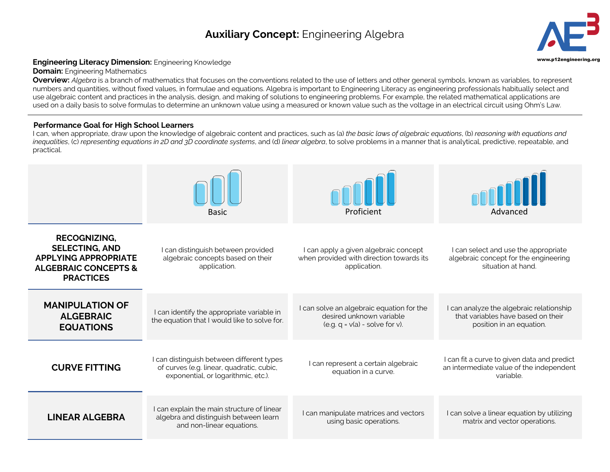# **Auxiliary Concept:** Engineering Algebra **3**



# Engineering Literacy Dimension: Engineering Knowledge **Engineering.org and Construction:** Engineering Construction

#### **Domain:** Engineering Mathematics

**Overview:** *Algebra* is a branch of mathematics that focuses on the conventions related to the use of letters and other general symbols, known as variables, to represent numbers and quantities, without fixed values, in formulae and equations. Algebra is important to Engineering Literacy as engineering professionals habitually select and use algebraic content and practices in the analysis, design, and making of solutions to engineering problems. For example, the related mathematical applications are used on a daily basis to solve formulas to determine an unknown value using a measured or known value such as the voltage in an electrical circuit using Ohm's Law.

### **Performance Goal for High School Learners**

I can, when appropriate, draw upon the knowledge of algebraic content and practices, such as (a) *the basic laws of algebraic equations*, (b) *reasoning with equations and inequalities*, (c) *representing equations in 2D and 3D coordinate systems*, and (d) *linear algebra*, to solve problems in a manner that is analytical, predictive, repeatable, and practical.

|                                                                                                                                    | <b>Basic</b>                                                                                                                  | Proficient                                                                                                       | Advanced                                                                                                   |
|------------------------------------------------------------------------------------------------------------------------------------|-------------------------------------------------------------------------------------------------------------------------------|------------------------------------------------------------------------------------------------------------------|------------------------------------------------------------------------------------------------------------|
| <b>RECOGNIZING,</b><br><b>SELECTING, AND</b><br><b>APPLYING APPROPRIATE</b><br><b>ALGEBRAIC CONCEPTS &amp;</b><br><b>PRACTICES</b> | I can distinguish between provided<br>algebraic concepts based on their<br>application.                                       | I can apply a given algebraic concept<br>when provided with direction towards its<br>application.                | I can select and use the appropriate<br>algebraic concept for the engineering<br>situation at hand.        |
| <b>MANIPULATION OF</b><br><b>ALGEBRAIC</b><br><b>EQUATIONS</b>                                                                     | I can identify the appropriate variable in<br>the equation that I would like to solve for.                                    | I can solve an algebraic equation for the<br>desired unknown variable<br>$($ e.g. q = $v$ (a) - solve for $v$ ). | I can analyze the algebraic relationship<br>that variables have based on their<br>position in an equation. |
| <b>CURVE FITTING</b>                                                                                                               | I can distinguish between different types<br>of curves (e.g. linear, quadratic, cubic,<br>exponential, or logarithmic, etc.). | I can represent a certain algebraic<br>equation in a curve.                                                      | I can fit a curve to given data and predict<br>an intermediate value of the independent<br>variable.       |
| <b>LINEAR ALGEBRA</b>                                                                                                              | I can explain the main structure of linear<br>algebra and distinguish between learn<br>and non-linear equations.              | I can manipulate matrices and vectors<br>using basic operations.                                                 | I can solve a linear equation by utilizing<br>matrix and vector operations.                                |